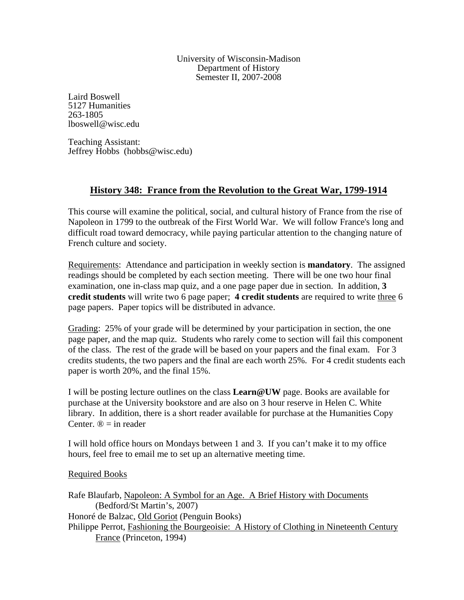University of Wisconsin-Madison Department of History Semester II, 2007-2008

Laird Boswell 5127 Humanities 263-1805 lboswell@wisc.edu

Teaching Assistant: Jeffrey Hobbs (hobbs@wisc.edu)

# **History 348: France from the Revolution to the Great War, 1799-1914**

This course will examine the political, social, and cultural history of France from the rise of Napoleon in 1799 to the outbreak of the First World War. We will follow France's long and difficult road toward democracy, while paying particular attention to the changing nature of French culture and society.

Requirements: Attendance and participation in weekly section is **mandatory**. The assigned readings should be completed by each section meeting. There will be one two hour final examination, one in-class map quiz, and a one page paper due in section. In addition, **3 credit students** will write two 6 page paper; **4 credit students** are required to write three 6 page papers. Paper topics will be distributed in advance.

Grading: 25% of your grade will be determined by your participation in section, the one page paper, and the map quiz. Students who rarely come to section will fail this component of the class. The rest of the grade will be based on your papers and the final exam. For 3 credits students, the two papers and the final are each worth 25%. For 4 credit students each paper is worth 20%, and the final 15%.

I will be posting lecture outlines on the class **Learn@UW** page. Books are available for purchase at the University bookstore and are also on 3 hour reserve in Helen C. White library. In addition, there is a short reader available for purchase at the Humanities Copy Center.  $\mathbb{D}$  = in reader

I will hold office hours on Mondays between 1 and 3. If you can't make it to my office hours, feel free to email me to set up an alternative meeting time.

## Required Books

Rafe Blaufarb, Napoleon: A Symbol for an Age. A Brief History with Documents (Bedford/St Martin's, 2007) Honoré de Balzac, Old Goriot (Penguin Books) Philippe Perrot, Fashioning the Bourgeoisie: A History of Clothing in Nineteenth Century France (Princeton, 1994)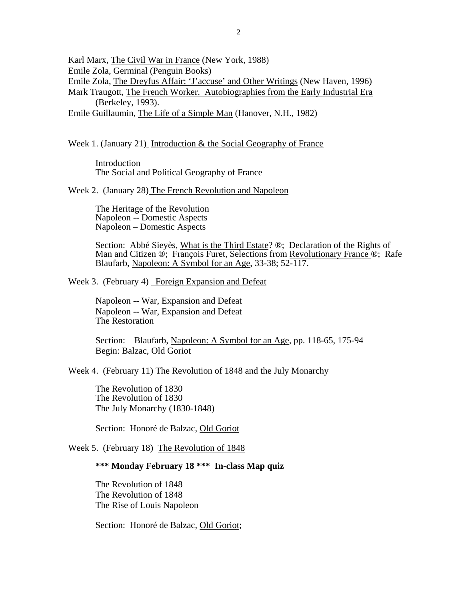Karl Marx, The Civil War in France (New York, 1988)

Emile Zola, Germinal (Penguin Books)

Emile Zola, The Dreyfus Affair: 'J'accuse' and Other Writings (New Haven, 1996)

Mark Traugott, The French Worker. Autobiographies from the Early Industrial Era (Berkeley, 1993).

Emile Guillaumin, The Life of a Simple Man (Hanover, N.H., 1982)

Week 1. (January 21) Introduction & the Social Geography of France

 Introduction The Social and Political Geography of France

Week 2. (January 28) The French Revolution and Napoleon

 The Heritage of the Revolution Napoleon -- Domestic Aspects Napoleon – Domestic Aspects

Section: Abbé Sieyès, What is the Third Estate? ®; Declaration of the Rights of Man and Citizen ®; François Furet, Selections from Revolutionary France ®; Rafe Blaufarb, Napoleon: A Symbol for an Age, 33-38; 52-117.

Week 3. (February 4) Foreign Expansion and Defeat

Napoleon -- War, Expansion and Defeat Napoleon -- War, Expansion and Defeat The Restoration

Section: Blaufarb, Napoleon: A Symbol for an Age, pp. 118-65, 175-94 Begin: Balzac, Old Goriot

Week 4. (February 11) The Revolution of 1848 and the July Monarchy

The Revolution of 1830 The Revolution of 1830 The July Monarchy (1830-1848)

Section: Honoré de Balzac, Old Goriot

Week 5. (February 18) The Revolution of 1848

### **\*\*\* Monday February 18 \*\*\* In-class Map quiz**

 The Revolution of 1848 The Revolution of 1848 The Rise of Louis Napoleon

Section: Honoré de Balzac, Old Goriot;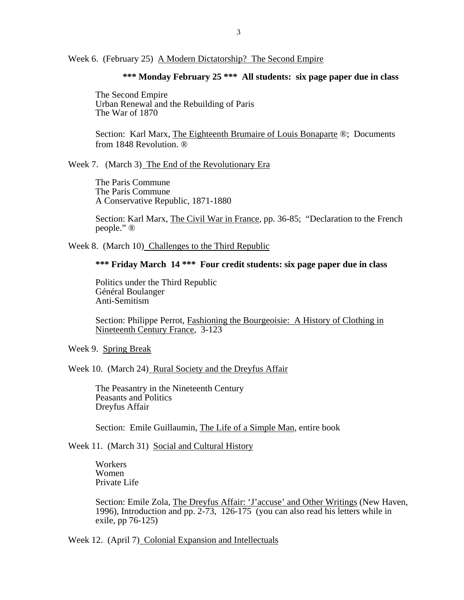Week 6. (February 25) A Modern Dictatorship? The Second Empire

### **\*\*\* Monday February 25 \*\*\* All students: six page paper due in class**

 The Second Empire Urban Renewal and the Rebuilding of Paris The War of 1870

Section: Karl Marx, The Eighteenth Brumaire of Louis Bonaparte ®; Documents from 1848 Revolution. ®

Week 7. (March 3) The End of the Revolutionary Era

The Paris Commune The Paris Commune A Conservative Republic, 1871-1880

Section: Karl Marx, The Civil War in France, pp. 36-85; "Declaration to the French people." ®

Week 8. (March 10) Challenges to the Third Republic

 **\*\*\* Friday March 14 \*\*\* Four credit students: six page paper due in class** 

Politics under the Third Republic Général Boulanger Anti-Semitism

Section: Philippe Perrot, Fashioning the Bourgeoisie: A History of Clothing in Nineteenth Century France, 3-123

Week 9. Spring Break

Week 10. (March 24) Rural Society and the Dreyfus Affair

The Peasantry in the Nineteenth Century Peasants and Politics Dreyfus Affair

Section: Emile Guillaumin, The Life of a Simple Man, entire book

Week 11. (March 31) Social and Cultural History

 Workers Women Private Life

Section: Emile Zola, The Dreyfus Affair: 'J'accuse' and Other Writings (New Haven, 1996), Introduction and pp. 2-73, 126-175 (you can also read his letters while in exile, pp 76-125)

Week 12. (April 7) Colonial Expansion and Intellectuals